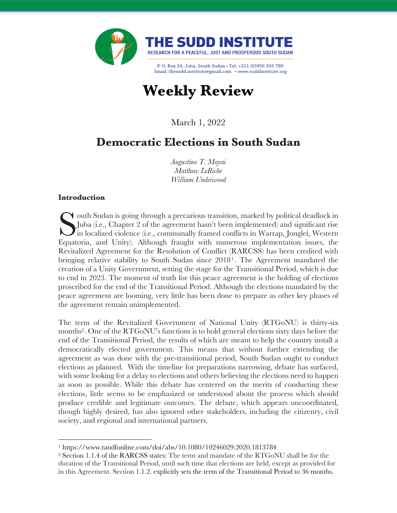

# **Weekly Review**

March 1, 2022

# **Democratic Elections in South Sudan**

*Augustino T. Mayai Matthew LeRiche William Underwood*

#### **Introduction**

 $\blacktriangledown$  outh Sudan is going through a precarious transition, marked by political deadlock in Juba (i.e., Chapter 2 of the agreement hasn't been implemented) and significant rise in localized violence (i.e., communally framed conflicts in Warrap, Jonglei, Western Equatoria, and Unity). Although fraught with numerous implementation issues, the Revitalized Agreement for the Resolution of Conflict (RARCSS) has been credited with bringing relative stability to South Sudan since 20181. The Agreement mandated the creation of a Unity Government, setting the stage for the Transitional Period, which is due to end in 2023. The moment of truth for this peace agreement is the holding of elections proscribed for the end of the Transitional Period. Although the elections mandated by the peace agreement are looming, very little has been done to prepare as other key phases of the agreement remain unimplemented. S<sub>Equat</sub>

The term of the Revitalized Government of National Unity (RTGoNU) is thirty-six months2. One of the RTGoNU's functions is to hold general elections sixty days before the end of the Transitional Period, the results of which are meant to help the country install a democratically elected government. This means that without further extending the agreement as was done with the pre-transitional period, South Sudan ought to conduct elections as planned. With the timeline for preparations narrowing, debate has surfaced, with some looking for a delay to elections and others believing the elections need to happen as soon as possible. While this debate has centered on the merits of conducting these elections, little seems to be emphasized or understood about the process which should produce credible and legitimate outcomes. The debate, which appears uncoordinated, though highly desired, has also ignored other stakeholders, including the citizenry, civil society, and regional and international partners.

<sup>1</sup> https://www.tandfonline.com/doi/abs/10.1080/10246029.2020.1813784

<sup>2</sup> Section 1.1.4 of the RARCSS states: The term and mandate of the RTGoNU shall be for the duration of the Transitional Period, until such time that elections are held, except as provided for in this Agreement. Section 1.1.2. explicitly sets the term of the Transitional Period to 36 months.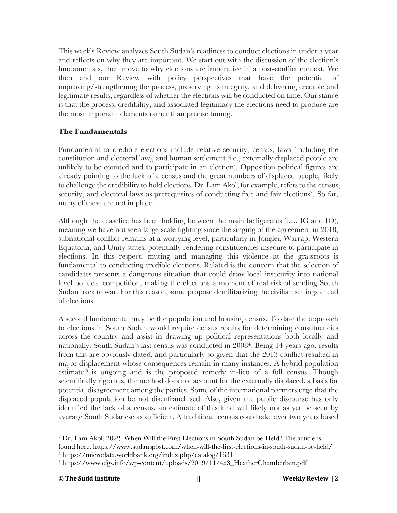This week's Review analyzes South Sudan's readiness to conduct elections in under a year and reflects on why they are important. We start out with the discussion of the election's fundamentals, then move to why elections are imperative in a post-conflict context. We then end our Review with policy perspectives that have the potential of improving/strengthening the process, preserving its integrity, and delivering credible and legitimate results, regardless of whether the elections will be conducted on time. Our stance is that the process, credibility, and associated legitimacy the elections need to produce are the most important elements rather than precise timing.

# **The Fundamentals**

Fundamental to credible elections include relative security, census, laws (including the constitution and electoral law), and human settlement (i.e., externally displaced people are unlikely to be counted and to participate in an election). Opposition political figures are already pointing to the lack of a census and the great numbers of displaced people, likely to challenge the credibility to hold elections. Dr. Lam Akol, for example, refers to the census, security, and electoral laws as prerequisites of conducting free and fair elections<sup>3</sup>. So far, many of these are not in place.

Although the ceasefire has been holding between the main belligerents (i.e., IG and IO), meaning we have not seen large scale fighting since the singing of the agreement in 2018, subnational conflict remains at a worrying level, particularly in Jonglei, Warrap, Western Equatoria, and Unity states, potentially rendering constituencies insecure to participate in elections. In this respect, muting and managing this violence at the grassroots is fundamental to conducting credible elections. Related is the concern that the selection of candidates presents a dangerous situation that could draw local insecurity into national level political competition, making the elections a moment of real risk of sending South Sudan back to war. For this reason, some propose demilitarizing the civilian settings ahead of elections.

A second fundamental may be the population and housing census. To date the approach to elections in South Sudan would require census results for determining constituencies across the country and assist in drawing up political representations both locally and nationally. South Sudan's last census was conducted in 20084. Being 14 years ago, results from this are obviously dated, and particularly so given that the 2013 conflict resulted in major displacement whose consequences remain in many instances. A hybrid population estimate  $5$  is ongoing and is the proposed remedy in-lieu of a full census. Though scientifically rigorous, the method does not account for the externally displaced, a basis for potential disagreement among the parties. Some of the international partners urge that the displaced population be not disenfranchised. Also, given the public discourse has only identified the lack of a census, an estimate of this kind will likely not as yet be seen by average South Sudanese as sufficient. A traditional census could take over two years based

<sup>3</sup> Dr. Lam Akol. 2022. When Will the First Elections in South Sudan be Held? The article is

found here: https://www.sudanspost.com/when-will-the-first-elections-in-south-sudan-be-held/ <sup>4</sup> https://microdata.worldbank.org/index.php/catalog/1631

<sup>5</sup> https://www.efgs.info/wp-content/uploads/2019/11/4a3\_HeatherChamberlain.pdf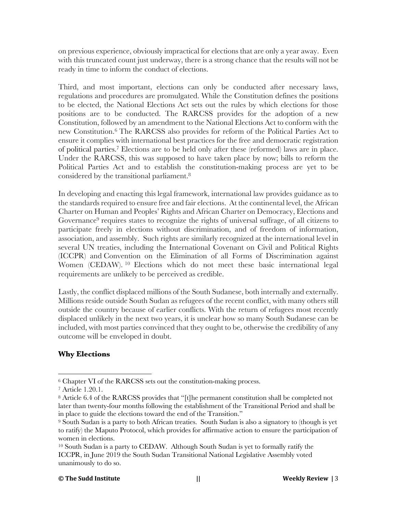on previous experience, obviously impractical for elections that are only a year away. Even with this truncated count just underway, there is a strong chance that the results will not be ready in time to inform the conduct of elections.

Third, and most important, elections can only be conducted after necessary laws, regulations and procedures are promulgated. While the Constitution defines the positions to be elected, the National Elections Act sets out the rules by which elections for those positions are to be conducted. The RARCSS provides for the adoption of a new Constitution, followed by an amendment to the National Elections Act to conform with the new Constitution. <sup>6</sup> The RARCSS also provides for reform of the Political Parties Act to ensure it complies with international best practices for the free and democratic registration of political parties. <sup>7</sup> Elections are to be held only after these (reformed) laws are in place. Under the RARCSS, this was supposed to have taken place by now; bills to reform the Political Parties Act and to establish the constitution-making process are yet to be considered by the transitional parliament.8

In developing and enacting this legal framework, international law provides guidance as to the standards required to ensure free and fair elections. At the continental level, the African Charter on Human and Peoples' Rights and African Charter on Democracy, Elections and Governance<sup>9</sup> requires states to recognize the rights of universal suffrage, of all citizens to participate freely in elections without discrimination, and of freedom of information, association, and assembly. Such rights are similarly recognized at the international level in several UN treaties, including the International Covenant on Civil and Political Rights (ICCPR) and Convention on the Elimination of all Forms of Discrimination against Women (CEDAW). <sup>10</sup> Elections which do not meet these basic international legal requirements are unlikely to be perceived as credible.

Lastly, the conflict displaced millions of the South Sudanese, both internally and externally. Millions reside outside South Sudan as refugees of the recent conflict, with many others still outside the country because of earlier conflicts. With the return of refugees most recently displaced unlikely in the next two years, it is unclear how so many South Sudanese can be included, with most parties convinced that they ought to be, otherwise the credibility of any outcome will be enveloped in doubt.

# **Why Elections**

#### **© The Sudd Institute || Weekly Review |** 3

<sup>6</sup> Chapter VI of the RARCSS sets out the constitution-making process.

<sup>7</sup> Article 1.20.1.

<sup>&</sup>lt;sup>8</sup> Article 6.4 of the RARCSS provides that "[t]he permanent constitution shall be completed not later than twenty-four months following the establishment of the Transitional Period and shall be in place to guide the elections toward the end of the Transition."

<sup>9</sup> South Sudan is a party to both African treaties. South Sudan is also a signatory to (though is yet to ratify) the Maputo Protocol, which provides for affirmative action to ensure the participation of women in elections.

<sup>10</sup> South Sudan is a party to CEDAW. Although South Sudan is yet to formally ratify the ICCPR, in June 2019 the South Sudan Transitional National Legislative Assembly voted unanimously to do so.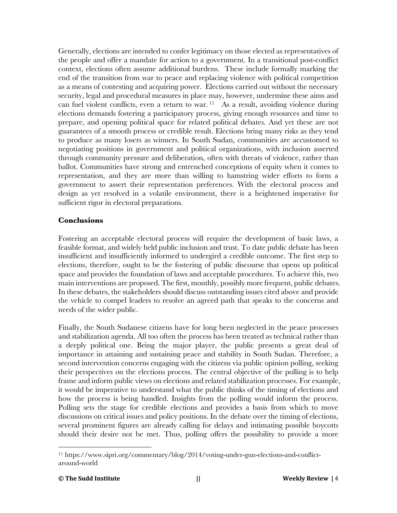Generally, elections are intended to confer legitimacy on those elected as representatives of the people and offer a mandate for action to a government. In a transitional post-conflict context, elections often assume additional burdens. These include formally marking the end of the transition from war to peace and replacing violence with political competition as a means of contesting and acquiring power. Elections carried out without the necessary security, legal and procedural measures in place may, however, undermine these aims and can fuel violent conflicts, even a return to war. 11 As a result, avoiding violence during elections demands fostering a participatory process, giving enough resources and time to prepare, and opening political space for related political debates. And yet these are not guarantees of a smooth process or credible result. Elections bring many risks as they tend to produce as many losers as winners. In South Sudan, communities are accustomed to negotiating positions in government and political organizations, with inclusion asserted through community pressure and deliberation, often with threats of violence, rather than ballot. Communities have strong and entrenched conceptions of equity when it comes to representation, and they are more than willing to hamstring wider efforts to form a government to assert their representation preferences. With the electoral process and design as yet resolved in a volatile environment, there is a heightened imperative for sufficient rigor in electoral preparations.

### **Conclusions**

Fostering an acceptable electoral process will require the development of basic laws, a feasible format, and widely held public inclusion and trust. To date public debate has been insufficient and insufficiently informed to undergird a credible outcome. The first step to elections, therefore, ought to be the fostering of public discourse that opens up political space and provides the foundation of laws and acceptable procedures. To achieve this, two main interventions are proposed. The first, monthly, possibly more frequent, public debates. In these debates, the stakeholders should discuss outstanding issues cited above and provide the vehicle to compel leaders to resolve an agreed path that speaks to the concerns and needs of the wider public.

Finally, the South Sudanese citizens have for long been neglected in the peace processes and stabilization agenda. All too often the process has been treated as technical rather than a deeply political one. Being the major player, the public presents a great deal of importance in attaining and sustaining peace and stability in South Sudan. Therefore, a second intervention concerns engaging with the citizens via public opinion polling, seeking their perspectives on the elections process. The central objective of the polling is to help frame and inform public views on elections and related stabilization processes. For example, it would be imperative to understand what the public thinks of the timing of elections and how the process is being handled. Insights from the polling would inform the process. Polling sets the stage for credible elections and provides a basis from which to move discussions on critical issues and policy positions. In the debate over the timing of elections, several prominent figures are already calling for delays and intimating possible boycotts should their desire not be met. Thus, polling offers the possibility to provide a more

<sup>11</sup> https://www.sipri.org/commentary/blog/2014/voting-under-gun-elections-and-conflictaround-world